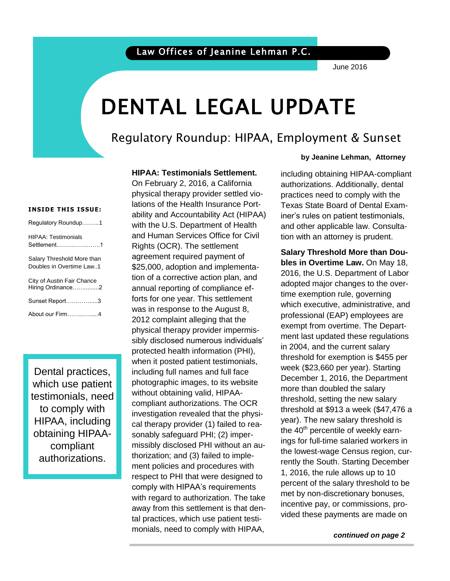June 2016

# DENTAL LEGAL UPDATE

## Regulatory Roundup: HIPAA, Employment & Sunset

#### **INSIDE THIS ISSUE:**

| Regulatory Roundup1                                    |
|--------------------------------------------------------|
| <b>HIPAA: Testimonials</b><br>Settlement1              |
| Salary Threshold More than<br>Doubles in Overtime Law1 |
| City of Austin Fair Chance<br>Hiring Ordinance2        |
| Sunset Report3                                         |
| About our Firm4                                        |

Dental practices, which use patient testimonials, need to comply with HIPAA, including obtaining HIPAAcompliant authorizations.

#### **HIPAA: Testimonials Settlement.**

On February 2, 2016, a California physical therapy provider settled violations of the Health Insurance Portability and Accountability Act (HIPAA) with the U.S. Department of Health and Human Services Office for Civil Rights (OCR). The settlement agreement required payment of \$25,000, adoption and implementation of a corrective action plan, and annual reporting of compliance efforts for one year. This settlement was in response to the August 8, 2012 complaint alleging that the physical therapy provider impermissibly disclosed numerous individuals' protected health information (PHI), when it posted patient testimonials, including full names and full face photographic images, to its website without obtaining valid, HIPAAcompliant authorizations. The OCR investigation revealed that the physical therapy provider (1) failed to reasonably safeguard PHI; (2) impermissibly disclosed PHI without an authorization; and (3) failed to implement policies and procedures with respect to PHI that were designed to comply with HIPAA's requirements with regard to authorization. The take away from this settlement is that dental practices, which use patient testimonials, need to comply with HIPAA,

#### **by Jeanine Lehman, Attorney**

iner's rules on patient testimonials, torney tion with an attorney is prudent. including obtaining HIPAA-compliant authorizations. Additionally, dental practices need to comply with the Texas State Board of Dental Examand other applicable law. Consulta-

.<br>met by non-discretionary bonuses, **Salary Threshold More than Doubles in Overtime Law.** On May 18, 2016, the U.S. Department of Labor adopted major changes to the overtime exemption rule, governing which executive, administrative, and professional (EAP) employees are exempt from overtime. The Department last updated these regulations in 2004, and the current salary threshold for exemption is \$455 per week (\$23,660 per year). Starting December 1, 2016, the Department more than doubled the salary threshold, setting the new salary threshold at \$913 a week (\$47,476 a year). The new salary threshold is the  $40<sup>th</sup>$  percentile of weekly earnings for full-time salaried workers in the lowest-wage Census region, currently the South. Starting December 1, 2016, the rule allows up to 10 percent of the salary threshold to be incentive pay, or commissions, provided these payments are made on

 *continued on page 2*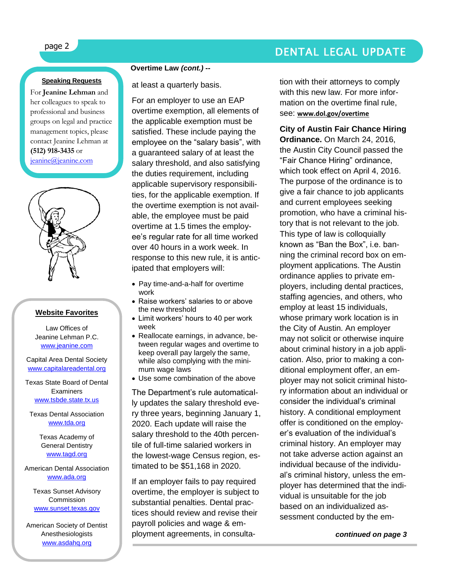## page 2 DENTAL LEGAL UPDATE

#### **Speaking Requests**

For **Jeanine Lehman** and her colleagues to speak to professional and business groups on legal and practice management topics, please contact Jeanine Lehman at **(512) 918-3435** or [jeanine@jeanine.com](mailto:jeanine@jeanine.com)



#### **Website Favorites**

Law Offices of Jeanine Lehman P.C. [www.jeanine.com](http://www.jeanine.com/)

Capital Area Dental Society [www.capitalareadental.org](http://www.capitalareadental.org/)

Texas State Board of Dental **Examiners** [www.tsbde.state.tx.us](http://www.tsbde.state.tx.us/)

Texas Dental Association [www.tda.org](http://www.tda.org/)

> Texas Academy of General Dentistry [www.tagd.org](http://www.tagd.org/)

#### American Dental Association [www.ada.org](http://www.ada.org/)

Texas Sunset Advisory Commission [www.sunset.texas.gov](http://www.sunset.texas.gov/)

American Society of Dentist Anesthesiologists [www.asdahq.org](http://www.asdahq.org/)

#### **Overtime Law** *(cont.) --*

at least a quarterly basis.

For an employer to use an EAP overtime exemption, all elements of the applicable exemption must be satisfied. These include paying the employee on the "salary basis", with a guaranteed salary of at least the salary threshold, and also satisfying the duties requirement, including applicable supervisory responsibilities, for the applicable exemption. If the overtime exemption is not available, the employee must be paid overtime at 1.5 times the employee's regular rate for all time worked over 40 hours in a work week. In response to this new rule, it is anticipated that employers will:

- Pay time-and-a-half for overtime work
- Raise workers' salaries to or above the new threshold
- Limit workers' hours to 40 per work week
- Reallocate earnings, in advance, between regular wages and overtime to keep overall pay largely the same, while also complying with the minimum wage laws
- Use some combination of the above

The Department's rule automatically updates the salary threshold every three years, beginning January 1, 2020. Each update will raise the salary threshold to the 40th percentile of full-time salaried workers in the lowest-wage Census region, estimated to be \$51,168 in 2020.

If an employer fails to pay required overtime, the employer is subject to substantial penalties. Dental practices should review and revise their payroll policies and wage & employment agreements, in consultation with their attorneys to comply with this new law. For more information on the overtime final rule, see: **[www.dol.gov/overtime](http://www.dol.gov/overtime)**

#### **City of Austin Fair Chance Hiring**

**Ordinance.** On March 24, 2016, the Austin City Council passed the "Fair Chance Hiring" ordinance, which took effect on April 4, 2016. The purpose of the ordinance is to give a fair chance to job applicants and current employees seeking promotion, who have a criminal history that is not relevant to the job. This type of law is colloquially known as "Ban the Box", i.e. banning the criminal record box on employment applications. The Austin ordinance applies to private employers, including dental practices, staffing agencies, and others, who employ at least 15 individuals, whose primary work location is in the City of Austin. An employer may not solicit or otherwise inquire about criminal history in a job application. Also, prior to making a conditional employment offer, an employer may not solicit criminal history information about an individual or consider the individual's criminal history. A conditional employment offer is conditioned on the employer's evaluation of the individual's criminal history. An employer may not take adverse action against an individual because of the individual's criminal history, unless the employer has determined that the individual is unsuitable for the job based on an individualized assessment conducted by the em-

 *continued on page 3*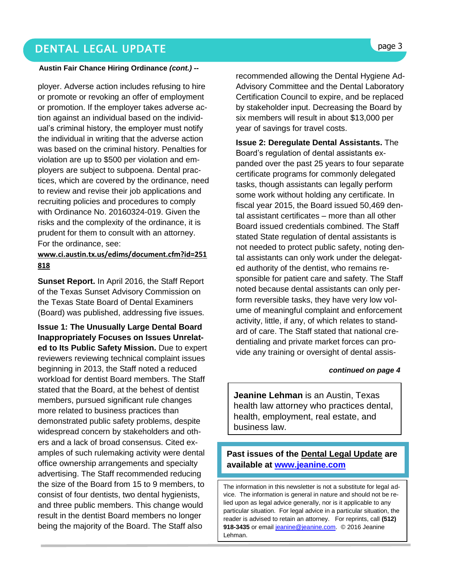### DENTAL LEGAL UPDATE **page 3**

#### **Austin Fair Chance Hiring Ordinance** *(cont.) --*

ployer. Adverse action includes refusing to hire or promote or revoking an offer of employment or promotion. If the employer takes adverse action against an individual based on the individual's criminal history, the employer must notify the individual in writing that the adverse action was based on the criminal history. Penalties for violation are up to \$500 per violation and employers are subject to subpoena. Dental practices, which are covered by the ordinance, need to review and revise their job applications and recruiting policies and procedures to comply with Ordinance No. 20160324-019. Given the risks and the complexity of the ordinance, it is prudent for them to consult with an attorney. For the ordinance, see:

#### **[www.ci.austin.tx.us/edims/document.cfm?id=251](http://www.ci.austin.tx.us/edims/document.cfm?id=251818) [818](http://www.ci.austin.tx.us/edims/document.cfm?id=251818)**

**Sunset Report.** In April 2016, the Staff Report of the Texas Sunset Advisory Commission on the Texas State Board of Dental Examiners (Board) was published, addressing five issues.

**Issue 1: The Unusually Large Dental Board Inappropriately Focuses on Issues Unrelated to Its Public Safety Mission.** Due to expert reviewers reviewing technical complaint issues beginning in 2013, the Staff noted a reduced workload for dentist Board members. The Staff stated that the Board, at the behest of dentist members, pursued significant rule changes more related to business practices than demonstrated public safety problems, despite widespread concern by stakeholders and others and a lack of broad consensus. Cited examples of such rulemaking activity were dental office ownership arrangements and specialty advertising. The Staff recommended reducing the size of the Board from 15 to 9 members, to consist of four dentists, two dental hygienists, and three public members. This change would result in the dentist Board members no longer being the majority of the Board. The Staff also

recommended allowing the Dental Hygiene Ad-Advisory Committee and the Dental Laboratory Certification Council to expire, and be replaced by stakeholder input. Decreasing the Board by six members will result in about \$13,000 per year of savings for travel costs.

**Issue 2: Deregulate Dental Assistants.** The Board's regulation of dental assistants expanded over the past 25 years to four separate certificate programs for commonly delegated tasks, though assistants can legally perform some work without holding any certificate. In fiscal year 2015, the Board issued 50,469 dental assistant certificates – more than all other Board issued credentials combined. The Staff stated State regulation of dental assistants is not needed to protect public safety, noting dental assistants can only work under the delegated authority of the dentist, who remains responsible for patient care and safety. The Staff noted because dental assistants can only perform reversible tasks, they have very low volume of meaningful complaint and enforcement activity, little, if any, of which relates to standard of care. The Staff stated that national credentialing and private market forces can provide any training or oversight of dental assis-

#### *continued on page 4*

**Jeanine Lehman** is an Austin, Texas health law attorney who practices dental, health, employment, real estate, and business law.

### **Past issues of the Dental Legal Update are available at [www.jeanine.com](http://www.jeanine.com/)**

The information in this newsletter is not a substitute for legal advice. The information is general in nature and should not be relied upon as legal advice generally, nor is it applicable to any particular situation. For legal advice in a particular situation, the reader is advised to retain an attorney. For reprints, call **(512)**  918-3435 or email [jeanine@jeanine.com.](mailto:jeanine@jeanine.com) © 2016 Jeanine Lehman.